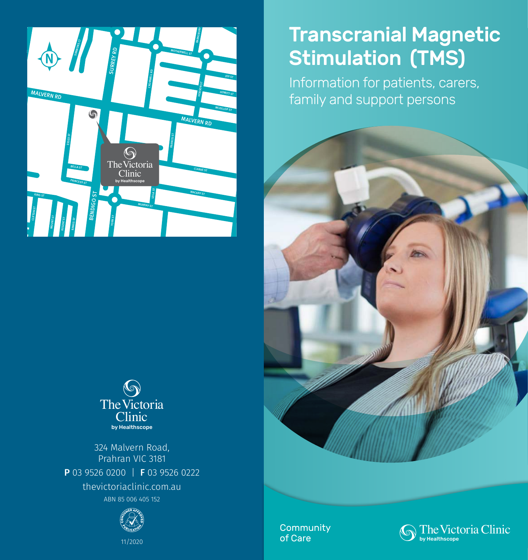



324 Malvern Road, Prahran VIC 3181 P 03 9526 0200 | F 03 9526 0222 thevictoriaclinic.com.au ABN 85 006 405 152



Transcranial Magnetic Stimulation (TMS)

Information for patients, carers, family and support persons



Community of Care